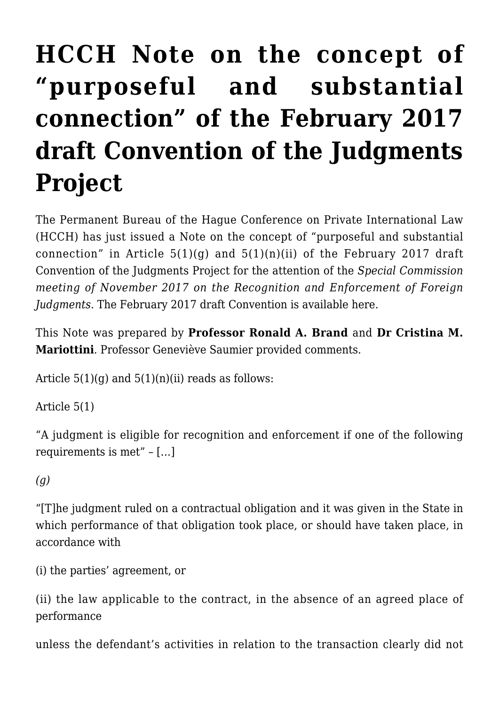## **[HCCH Note on the concept of](https://conflictoflaws.net/2017/hcch-note-on-the-concept-of-purposeful-and-substantial-connection-of-the-february-2017-draft-convention-of-the-judgments-project/) ["purposeful and substantial](https://conflictoflaws.net/2017/hcch-note-on-the-concept-of-purposeful-and-substantial-connection-of-the-february-2017-draft-convention-of-the-judgments-project/) [connection" of the February 2017](https://conflictoflaws.net/2017/hcch-note-on-the-concept-of-purposeful-and-substantial-connection-of-the-february-2017-draft-convention-of-the-judgments-project/) [draft Convention of the Judgments](https://conflictoflaws.net/2017/hcch-note-on-the-concept-of-purposeful-and-substantial-connection-of-the-february-2017-draft-convention-of-the-judgments-project/) [Project](https://conflictoflaws.net/2017/hcch-note-on-the-concept-of-purposeful-and-substantial-connection-of-the-february-2017-draft-convention-of-the-judgments-project/)**

The Permanent Bureau of the Hague Conference on Private International Law (HCCH) has just issued a [Note on the concept of "purposeful and substantial](https://assets.hcch.net/docs/94caa6bc-ca61-45ce-8ddb-8f724174d1b1.pdf) connection" in Article  $5(1)(g)$  and  $5(1)(n)(ii)$  of the February 2017 draft Convention of the Judgments Project for the attention of the *Special Commission meeting of November 2017 on the Recognition and Enforcement of Foreign Judgments*. The February 2017 draft Convention is available [here.](https://assets.hcch.net/docs/d6f58225-0427-4a65-8f8b-180e79cafdbb.pdf)

This Note was prepared by **Professor Ronald A. Brand** and **Dr Cristina M. Mariottini**. Professor Geneviève Saumier provided comments.

Article  $5(1)(q)$  and  $5(1)(n)(ii)$  reads as follows:

Article 5(1)

"A judgment is eligible for recognition and enforcement if one of the following requirements is met" – […]

## *(g)*

"[T]he judgment ruled on a contractual obligation and it was given in the State in which performance of that obligation took place, or should have taken place, in accordance with

(i) the parties' agreement, or

(ii) the law applicable to the contract, in the absence of an agreed place of performance

unless the defendant's activities in relation to the transaction clearly did not